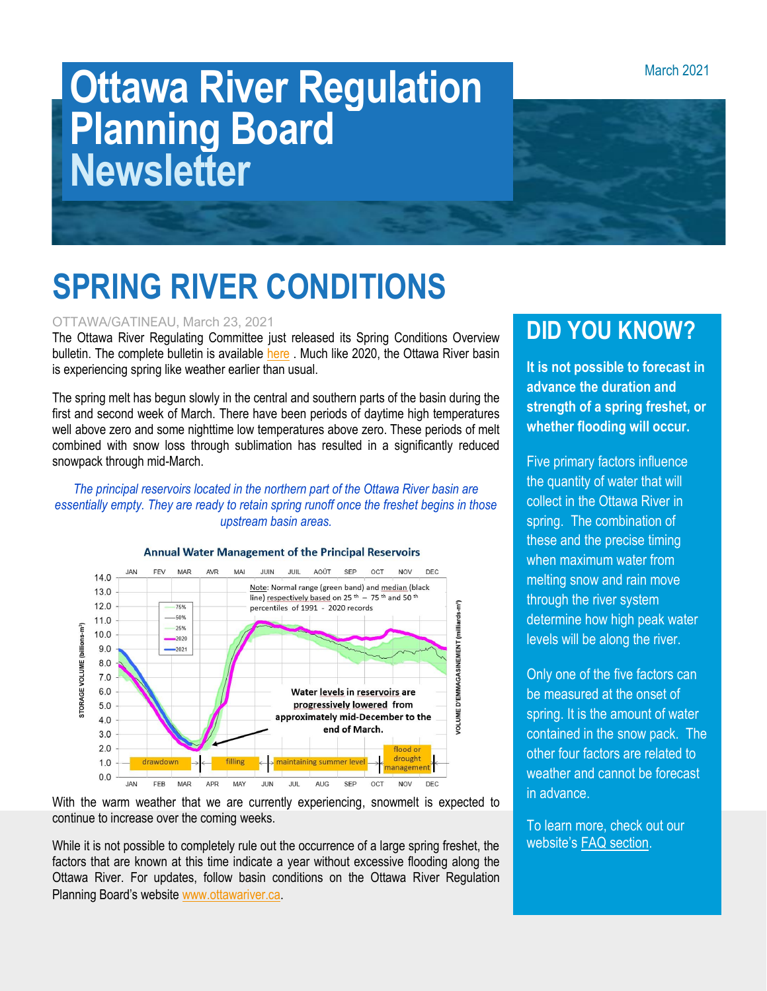March 2021

# **Ottawa River Regulation Planning Board Newsletter**



## **SPRING RIVER CONDITIONS**

#### OTTAWA/GATINEAU, March 23, 2021

The Ottawa River Regulating Committee just released its Spring Conditions Overview bulletin. The complete bulletin is available [here](http://ottawariver.ca/wp-content/uploads/2021/03/2021-03-22-Bulletin-Spring-Conditions-.pdf) . Much like 2020, the Ottawa River basin is experiencing spring like weather earlier than usual.

The spring melt has begun slowly in the central and southern parts of the basin during the first and second week of March. There have been periods of daytime high temperatures well above zero and some nighttime low temperatures above zero. These periods of melt combined with snow loss through sublimation has resulted in a significantly reduced snowpack through mid-March.

#### *The principal reservoirs located in the northern part of the Ottawa River basin are essentially empty. They are ready to retain spring runoff once the freshet begins in those upstream basin areas.*



#### **Annual Water Management of the Principal Reservoirs**

With the warm weather that we are currently experiencing, snowmelt is expected to continue to increase over the coming weeks.

While it is not possible to completely rule out the occurrence of a large spring freshet, the factors that are known at this time indicate a year without excessive flooding along the Ottawa River. For updates, follow basin conditions on the Ottawa River Regulation Planning Board's website [www.ottawariver.ca.](http://www.ottawariver.ca/)

### **DID YOU KNOW?**

**It is not possible to forecast in advance the duration and strength of a spring freshet, or whether flooding will occur.** 

Five primary factors influence the quantity of water that will collect in the Ottawa River in spring. The combination of these and the precise timing when maximum water from melting snow and rain move through the river system determine how high peak water levels will be along the river.

Only one of the five factors can be measured at the onset of spring. It is the amount of water contained in the snow pack. The other four factors are related to weather and cannot be forecast in advance.

To learn more, check out our website's [FAQ section.](http://ottawariver.ca/information/frequently-asked-questions/)